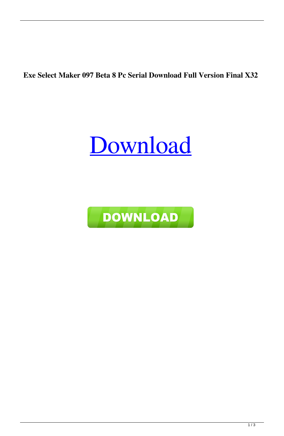**Exe Select Maker 097 Beta 8 Pc Serial Download Full Version Final X32**



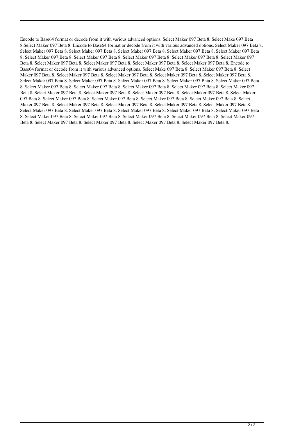Encode to Base64 format or decode from it with various advanced options. Select Maker 097 Beta 8. Select Make 097 Beta 8.Select Maker 097 Beta 8. Encode to Base64 format or decode from it with various advanced options. Select Maker 097 Beta 8. Select Maker 097 Beta 8. Select Maker 097 Beta 8. Select Maker 097 Beta 8. Select Maker 097 Beta 8. Select Maker 097 Beta 8. Select Maker 097 Beta 8. Select Maker 097 Beta 8. Select Maker 097 Beta 8. Select Maker 097 Beta 8. Select Maker 097 Beta 8. Select Maker 097 Beta 8. Select Maker 097 Beta 8. Select Maker 097 Beta 8. Select Maker 097 Beta 8. Encode to Base64 format or decode from it with various advanced options. Select Make 097 Beta 8. Select Maker 097 Beta 8. Select Maker 097 Beta 8. Select Maker 097 Beta 8. Select Maker 097 Beta 8. Select Maker 097 Beta 8. Select Maker 097 Beta 8. Select Maker 097 Beta 8. Select Maker 097 Beta 8. Select Maker 097 Beta 8. Select Maker 097 Beta 8. Select Maker 097 Beta 8. Select Maker 097 Beta 8. Select Maker 097 Beta 8. Select Maker 097 Beta 8. Select Maker 097 Beta 8. Select Maker 097 Beta 8. Select Maker 097 Beta 8. Select Maker 097 Beta 8. Select Maker 097 Beta 8. Select Maker 097 Beta 8. Select Maker 097 Beta 8. Select Maker 097 Beta 8. Select Maker 097 Beta 8. Select Maker 097 Beta 8. Select Maker 097 Beta 8. Select Maker 097 Beta 8. Select Maker 097 Beta 8. Select Maker 097 Beta 8. Select Maker 097 Beta 8. Select Maker 097 Beta 8. Select Maker 097 Beta 8. Select Maker 097 Beta 8. Select Maker 097 Beta 8. Select Maker 097 Beta 8. Select Maker 097 Beta 8. Select Maker 097 Beta 8. Select Maker 097 Beta 8. Select Maker 097 Beta 8. Select Maker 097 Beta 8. Select Maker 097 Beta 8. Select Maker 097 Beta 8. Select Maker 097 Beta 8. Select Maker 097 Beta 8. Select Maker 097 Beta 8.